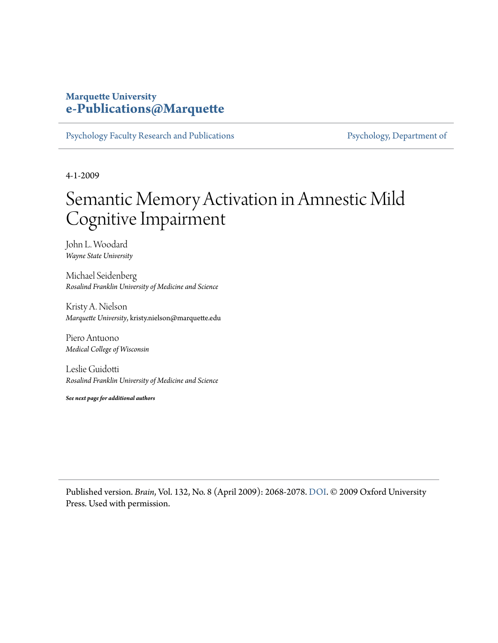## **Marquette University [e-Publications@Marquette](https://epublications.marquette.edu)**

[Psychology Faculty Research and Publications](https://epublications.marquette.edu/psych_fac) [Psychology, Department of](https://epublications.marquette.edu/psychology)

4-1-2009

# Semantic Memory Activation in Amnestic Mild Cognitive Impairment

John L. Woodard *Wayne State University*

Michael Seidenberg *Rosalind Franklin University of Medicine and Science*

Kristy A. Nielson *Marquette University*, kristy.nielson@marquette.edu

Piero Antuono *Medical College of Wisconsin*

Leslie Guidotti *Rosalind Franklin University of Medicine and Science*

*See next page for additional authors*

Published version. *Brain*, Vol. 132, No. 8 (April 2009): 2068-2078. [DOI](http://dx.doi.org/10.1093/brain/awp157). © 2009 Oxford University Press. Used with permission.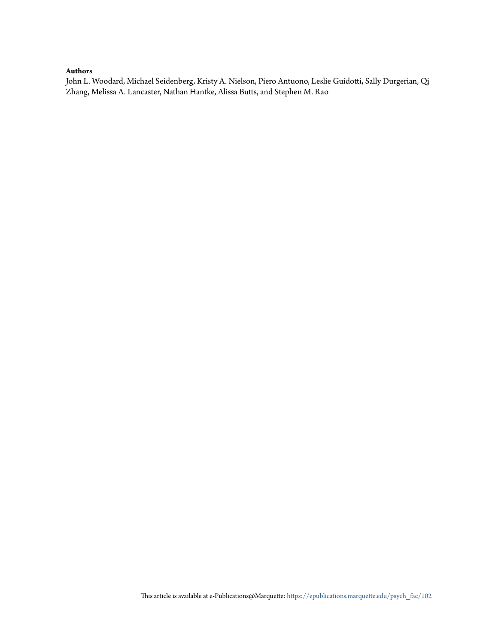### **Authors**

John L. Woodard, Michael Seidenberg, Kristy A. Nielson, Piero Antuono, Leslie Guidotti, Sally Durgerian, Qi Zhang, Melissa A. Lancaster, Nathan Hantke, Alissa Butts, and Stephen M. Rao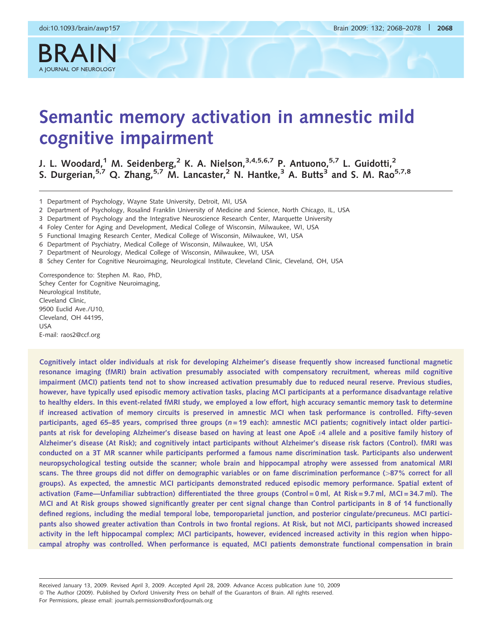BRAIN

# Semantic memory activation in amnestic mild cognitive impairment

J. L. Woodard,<sup>1</sup> M. Seidenberg,<sup>2</sup> K. A. Nielson,<sup>3,4,5,6,7</sup> P. Antuono,<sup>5,7</sup> L. Guidotti,<sup>2</sup> S. Durgerian,<sup>5,7</sup> Q. Zhang,<sup>5,7</sup> M. Lancaster,<sup>2</sup> N. Hantke,<sup>3</sup> A. Butts<sup>3</sup> and S. M. Rao<sup>5,7,8</sup>

1 Department of Psychology, Wayne State University, Detroit, MI, USA

2 Department of Psychology, Rosalind Franklin University of Medicine and Science, North Chicago, IL, USA

3 Department of Psychology and the Integrative Neuroscience Research Center, Marquette University

4 Foley Center for Aging and Development, Medical College of Wisconsin, Milwaukee, WI, USA

5 Functional Imaging Research Center, Medical College of Wisconsin, Milwaukee, WI, USA

6 Department of Psychiatry, Medical College of Wisconsin, Milwaukee, WI, USA

7 Department of Neurology, Medical College of Wisconsin, Milwaukee, WI, USA

8 Schey Center for Cognitive Neuroimaging, Neurological Institute, Cleveland Clinic, Cleveland, OH, USA

Correspondence to: Stephen M. Rao, PhD, Schey Center for Cognitive Neuroimaging, Neurological Institute, Cleveland Clinic, 9500 Euclid Ave./U10, Cleveland, OH 44195, USA E-mail: raos2@ccf.org

Cognitively intact older individuals at risk for developing Alzheimer's disease frequently show increased functional magnetic resonance imaging (fMRI) brain activation presumably associated with compensatory recruitment, whereas mild cognitive impairment (MCI) patients tend not to show increased activation presumably due to reduced neural reserve. Previous studies, however, have typically used episodic memory activation tasks, placing MCI participants at a performance disadvantage relative to healthy elders. In this event-related fMRI study, we employed a low effort, high accuracy semantic memory task to determine if increased activation of memory circuits is preserved in amnestic MCI when task performance is controlled. Fifty-seven participants, aged 65-85 years, comprised three groups (n=19 each): amnestic MCI patients; cognitively intact older participants at risk for developing Alzheimer's disease based on having at least one ApoE  $\varepsilon$ 4 allele and a positive family history of Alzheimer's disease (At Risk); and cognitively intact participants without Alzheimer's disease risk factors (Control). fMRI was conducted on a 3T MR scanner while participants performed a famous name discrimination task. Participants also underwent neuropsychological testing outside the scanner; whole brain and hippocampal atrophy were assessed from anatomical MRI scans. The three groups did not differ on demographic variables or on fame discrimination performance (>87% correct for all groups). As expected, the amnestic MCI participants demonstrated reduced episodic memory performance. Spatial extent of activation (Fame—Unfamiliar subtraction) differentiated the three groups (Control = 0 ml, At Risk = 9.7 ml, MCI = 34.7 ml). The MCI and At Risk groups showed significantly greater per cent signal change than Control participants in 8 of 14 functionally defined regions, including the medial temporal lobe, temporoparietal junction, and posterior cingulate/precuneus. MCI participants also showed greater activation than Controls in two frontal regions. At Risk, but not MCI, participants showed increased activity in the left hippocampal complex; MCI participants, however, evidenced increased activity in this region when hippocampal atrophy was controlled. When performance is equated, MCI patients demonstrate functional compensation in brain

Received January 13, 2009. Revised April 3, 2009. Accepted April 28, 2009. Advance Access publication June 10, 2009 The Author (2009). Published by Oxford University Press on behalf of the Guarantors of Brain. All rights reserved. For Permissions, please email: journals.permissions@oxfordjournals.org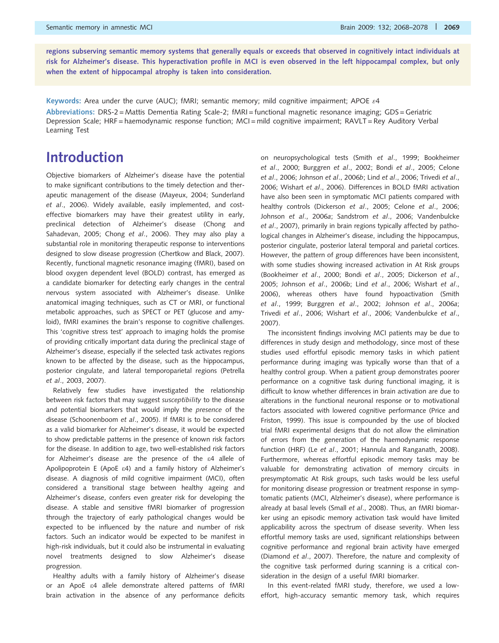regions subserving semantic memory systems that generally equals or exceeds that observed in cognitively intact individuals at risk for Alzheimer's disease. This hyperactivation profile in MCI is even observed in the left hippocampal complex, but only when the extent of hippocampal atrophy is taken into consideration.

Keywords: Area under the curve (AUC); fMRI; semantic memory; mild cognitive impairment; APOE  $\varepsilon$ 4 Abbreviations: DRS-2 = Mattis Dementia Rating Scale-2; fMRI = functional magnetic resonance imaging; GDS = Geriatric Depression Scale; HRF = haemodynamic response function; MCI = mild cognitive impairment; RAVLT = Rey Auditory Verbal Learning Test

# Introduction

Objective biomarkers of Alzheimer's disease have the potential to make significant contributions to the timely detection and therapeutic management of the disease (Mayeux, 2004; Sunderland et al., 2006). Widely available, easily implemented, and costeffective biomarkers may have their greatest utility in early, preclinical detection of Alzheimer's disease (Chong and Sahadevan, 2005; Chong et al., 2006). They may also play a substantial role in monitoring therapeutic response to interventions designed to slow disease progression (Chertkow and Black, 2007). Recently, functional magnetic resonance imaging (fMRI), based on blood oxygen dependent level (BOLD) contrast, has emerged as a candidate biomarker for detecting early changes in the central nervous system associated with Alzheimer's disease. Unlike anatomical imaging techniques, such as CT or MRI, or functional metabolic approaches, such as SPECT or PET (glucose and amyloid), fMRI examines the brain's response to cognitive challenges. This 'cognitive stress test' approach to imaging holds the promise of providing critically important data during the preclinical stage of Alzheimer's disease, especially if the selected task activates regions known to be affected by the disease, such as the hippocampus, posterior cingulate, and lateral temporoparietal regions (Petrella et al., 2003, 2007).

Relatively few studies have investigated the relationship between risk factors that may suggest susceptibility to the disease and potential biomarkers that would imply the presence of the disease (Schoonenboom et al., 2005). If fMRI is to be considered as a valid biomarker for Alzheimer's disease, it would be expected to show predictable patterns in the presence of known risk factors for the disease. In addition to age, two well-established risk factors for Alzheimer's disease are the presence of the e4 allele of Apolipoprotein E (ApoE  $\varepsilon$ 4) and a family history of Alzheimer's disease. A diagnosis of mild cognitive impairment (MCI), often considered a transitional stage between healthy ageing and Alzheimer's disease, confers even greater risk for developing the disease. A stable and sensitive fMRI biomarker of progression through the trajectory of early pathological changes would be expected to be influenced by the nature and number of risk factors. Such an indicator would be expected to be manifest in high-risk individuals, but it could also be instrumental in evaluating novel treatments designed to slow Alzheimer's disease progression.

Healthy adults with a family history of Alzheimer's disease or an ApoE e4 allele demonstrate altered patterns of fMRI brain activation in the absence of any performance deficits on neuropsychological tests (Smith et al., 1999; Bookheimer et al., 2000; Burggren et al., 2002; Bondi et al., 2005; Celone et al., 2006; Johnson et al., 2006b; Lind et al., 2006; Trivedi et al., 2006; Wishart et al., 2006). Differences in BOLD fMRI activation have also been seen in symptomatic MCI patients compared with healthy controls (Dickerson et al., 2005; Celone et al., 2006; Johnson et al., 2006a; Sandstrom et al., 2006; Vandenbulcke et al., 2007), primarily in brain regions typically affected by pathological changes in Alzheimer's disease, including the hippocampus, posterior cingulate, posterior lateral temporal and parietal cortices. However, the pattern of group differences have been inconsistent, with some studies showing increased activation in At Risk groups (Bookheimer et al., 2000; Bondi et al., 2005; Dickerson et al., 2005; Johnson et al., 2006b; Lind et al., 2006; Wishart et al., 2006), whereas others have found hypoactivation (Smith et al., 1999; Burggren et al., 2002; Johnson et al., 2006a; Trivedi et al., 2006; Wishart et al., 2006; Vandenbulcke et al., 2007).

The inconsistent findings involving MCI patients may be due to differences in study design and methodology, since most of these studies used effortful episodic memory tasks in which patient performance during imaging was typically worse than that of a healthy control group. When a patient group demonstrates poorer performance on a cognitive task during functional imaging, it is difficult to know whether differences in brain activation are due to alterations in the functional neuronal response or to motivational factors associated with lowered cognitive performance (Price and Friston, 1999). This issue is compounded by the use of blocked trial fMRI experimental designs that do not allow the elimination of errors from the generation of the haemodynamic response function (HRF) (Le et al., 2001; Hannula and Ranganath, 2008). Furthermore, whereas effortful episodic memory tasks may be valuable for demonstrating activation of memory circuits in presymptomatic At Risk groups, such tasks would be less useful for monitoring disease progression or treatment response in symptomatic patients (MCI, Alzheimer's disease), where performance is already at basal levels (Small et al., 2008). Thus, an fMRI biomarker using an episodic memory activation task would have limited applicability across the spectrum of disease severity. When less effortful memory tasks are used, significant relationships between cognitive performance and regional brain activity have emerged (Diamond et al., 2007). Therefore, the nature and complexity of the cognitive task performed during scanning is a critical consideration in the design of a useful fMRI biomarker.

In this event-related fMRI study, therefore, we used a loweffort, high-accuracy semantic memory task, which requires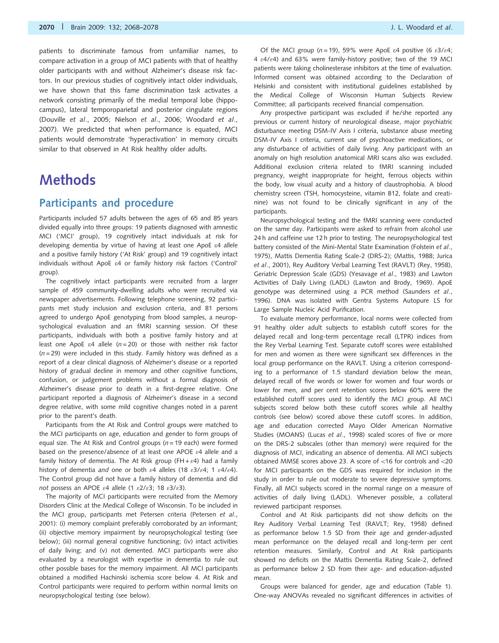patients to discriminate famous from unfamiliar names, to compare activation in a group of MCI patients with that of healthy older participants with and without Alzheimer's disease risk factors. In our previous studies of cognitively intact older individuals, we have shown that this fame discrimination task activates a network consisting primarily of the medial temporal lobe (hippocampus), lateral temporoparietal and posterior cingulate regions (Douville et al., 2005; Nielson et al., 2006; Woodard et al., 2007). We predicted that when performance is equated, MCI patients would demonstrate 'hyperactivation' in memory circuits similar to that observed in At Risk healthy older adults.

# Methods

### Participants and procedure

Participants included 57 adults between the ages of 65 and 85 years divided equally into three groups: 19 patients diagnosed with amnestic MCI ('MCI' group), 19 cognitively intact individuals at risk for developing dementia by virtue of having at least one ApoE e4 allele and a positive family history ('At Risk' group) and 19 cognitively intact individuals without ApoE e4 or family history risk factors ('Control' group).

The cognitively intact participants were recruited from a larger sample of 459 community-dwelling adults who were recruited via newspaper advertisements. Following telephone screening, 92 participants met study inclusion and exclusion criteria, and 81 persons agreed to undergo ApoE genotyping from blood samples, a neuropsychological evaluation and an fMRI scanning session. Of these participants, individuals with both a positive family history and at least one ApoE  $\varepsilon$ 4 allele (n = 20) or those with neither risk factor  $(n=29)$  were included in this study. Family history was defined as a report of a clear clinical diagnosis of Alzheimer's disease or a reported history of gradual decline in memory and other cognitive functions, confusion, or judgement problems without a formal diagnosis of Alzheimer's disease prior to death in a first-degree relative. One participant reported a diagnosis of Alzheimer's disease in a second degree relative, with some mild cognitive changes noted in a parent prior to the parent's death.

Participants from the At Risk and Control groups were matched to the MCI participants on age, education and gender to form groups of equal size. The At Risk and Control groups ( $n = 19$  each) were formed based on the presence/absence of at least one APOE  $\varepsilon$ 4 allele and a family history of dementia. The At Risk group (FH +  $\varepsilon$ 4) had a family history of dementia and one or both  $\varepsilon$ 4 alleles (18  $\varepsilon$ 3/ $\varepsilon$ 4; 1  $\varepsilon$ 4/ $\varepsilon$ 4). The Control group did not have a family history of dementia and did not possess an APOE  $\varepsilon$ 4 allele (1  $\varepsilon$ 2/ $\varepsilon$ 3; 18  $\varepsilon$ 3/ $\varepsilon$ 3).

The majority of MCI participants were recruited from the Memory Disorders Clinic at the Medical College of Wisconsin. To be included in the MCI group, participants met Petersen criteria (Petersen et al., 2001): (i) memory complaint preferably corroborated by an informant; (ii) objective memory impairment by neuropsychological testing (see below); (iii) normal general cognitive functioning; (iv) intact activities of daily living; and (v) not demented. MCI participants were also evaluated by a neurologist with expertise in dementia to rule out other possible bases for the memory impairment. All MCI participants obtained a modified Hachinski ischemia score below 4. At Risk and Control participants were required to perform within normal limits on neuropsychological testing (see below).

Of the MCI group (n=19), 59% were ApoE  $\varepsilon$ 4 positive (6  $\varepsilon$ 3/ $\varepsilon$ 4; 4  $\varepsilon$ 4/ $\varepsilon$ 4) and 63% were family-history positive; two of the 19 MCI patients were taking cholinesterase inhibitors at the time of evaluation. Informed consent was obtained according to the Declaration of Helsinki and consistent with institutional guidelines established by the Medical College of Wisconsin Human Subjects Review Committee; all participants received financial compensation.

Any prospective participant was excluded if he/she reported any previous or current history of neurological disease, major psychiatric disturbance meeting DSM-IV Axis I criteria, substance abuse meeting DSM-IV Axis I criteria, current use of psychoactive medications, or any disturbance of activities of daily living. Any participant with an anomaly on high resolution anatomical MRI scans also was excluded. Additional exclusion criteria related to fMRI scanning included pregnancy, weight inappropriate for height, ferrous objects within the body, low visual acuity and a history of claustrophobia. A blood chemistry screen (TSH, homocysteine, vitamin B12, folate and creatinine) was not found to be clinically significant in any of the participants.

Neuropsychological testing and the fMRI scanning were conducted on the same day. Participants were asked to refrain from alcohol use 24 h and caffeine use 12 h prior to testing. The neuropsychological test battery consisted of the Mini-Mental State Examination (Folstein et al., 1975), Mattis Dementia Rating Scale-2 (DRS-2); (Mattis, 1988; Jurica et al., 2001), Rey Auditory Verbal Learning Test (RAVLT) (Rey, 1958), Geriatric Depression Scale (GDS) (Yesavage et al., 1983) and Lawton Activities of Daily Living (LADL) (Lawton and Brody, 1969). ApoE genotype was determined using a PCR method (Saunders et al., 1996). DNA was isolated with Gentra Systems Autopure LS for Large Sample Nucleic Acid Purification.

To evaluate memory performance, local norms were collected from 91 healthy older adult subjects to establish cutoff scores for the delayed recall and long-term percentage recall (LTPR) indices from the Rey Verbal Learning Test. Separate cutoff scores were established for men and women as there were significant sex differences in the local group performance on the RAVLT. Using a criterion corresponding to a performance of 1.5 standard deviation below the mean, delayed recall of five words or lower for women and four words or lower for men, and per cent retention scores below 60% were the established cutoff scores used to identify the MCI group. All MCI subjects scored below both these cutoff scores while all healthy controls (see below) scored above these cutoff scores. In addition, age and education corrected Mayo Older American Normative Studies (MOANS) (Lucas et al., 1998) scaled scores of five or more on the DRS-2 subscales (other than memory) were required for the diagnosis of MCI, indicating an absence of dementia. All MCI subjects obtained MMSE scores above 23. A score of  $<$ 16 for controls and  $<$ 20 for MCI participants on the GDS was required for inclusion in the study in order to rule out moderate to severe depressive symptoms. Finally, all MCI subjects scored in the normal range on a measure of activities of daily living (LADL). Whenever possible, a collateral reviewed participant responses.

Control and At Risk participants did not show deficits on the Rey Auditory Verbal Learning Test (RAVLT; Rey, 1958) defined as performance below 1.5 SD from their age and gender-adjusted mean performance on the delayed recall and long-term per cent retention measures. Similarly, Control and At Risk participants showed no deficits on the Mattis Dementia Rating Scale-2, defined as performance below 2 SD from their age- and education-adjusted mean.

Groups were balanced for gender, age and education (Table 1). One-way ANOVAs revealed no significant differences in activities of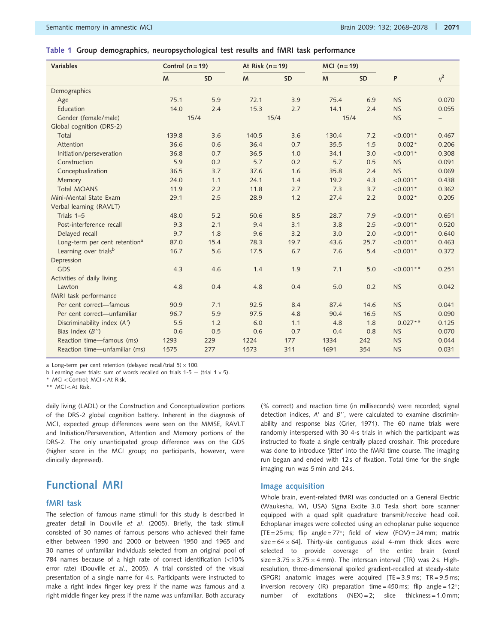### Table 1 Group demographics, neuropsychological test results and fMRI task performance

| <b>Variables</b>                          | Control $(n = 19)$ |           | At Risk $(n=19)$ |           | $MCI(n=19)$ |           |             |                   |
|-------------------------------------------|--------------------|-----------|------------------|-----------|-------------|-----------|-------------|-------------------|
|                                           | M                  | <b>SD</b> | M                | <b>SD</b> | M           | <b>SD</b> | P           | $\eta^2$          |
| Demographics                              |                    |           |                  |           |             |           |             |                   |
| Age                                       | 75.1               | 5.9       | 72.1             | 3.9       | 75.4        | 6.9       | <b>NS</b>   | 0.070             |
| Education                                 | 14.0               | 2.4       | 15.3             | 2.7       | 14.1        | 2.4       | <b>NS</b>   | 0.055             |
| Gender (female/male)                      | 15/4               |           |                  | 15/4      | 15/4        |           | <b>NS</b>   | $\qquad \qquad -$ |
| Global cognition (DRS-2)                  |                    |           |                  |           |             |           |             |                   |
| Total                                     | 139.8              | 3.6       | 140.5            | 3.6       | 130.4       | 7.2       | $< 0.001*$  | 0.467             |
| Attention                                 | 36.6               | 0.6       | 36.4             | 0.7       | 35.5        | 1.5       | $0.002*$    | 0.206             |
| Initiation/perseveration                  | 36.8               | 0.7       | 36.5             | 1.0       | 34.1        | 3.0       | $< 0.001*$  | 0.308             |
| Construction                              | 5.9                | 0.2       | 5.7              | 0.2       | 5.7         | 0.5       | <b>NS</b>   | 0.091             |
| Conceptualization                         | 36.5               | 3.7       | 37.6             | 1.6       | 35.8        | 2.4       | <b>NS</b>   | 0.069             |
| Memory                                    | 24.0               | 1.1       | 24.1             | 1.4       | 19.2        | 4.3       | $< 0.001*$  | 0.438             |
| <b>Total MOANS</b>                        | 11.9               | 2.2       | 11.8             | 2.7       | 7.3         | 3.7       | $< 0.001*$  | 0.362             |
| Mini-Mental State Exam                    | 29.1               | 2.5       | 28.9             | 1.2       | 27.4        | 2.2       | $0.002*$    | 0.205             |
| Verbal learning (RAVLT)                   |                    |           |                  |           |             |           |             |                   |
| Trials 1-5                                | 48.0               | 5.2       | 50.6             | 8.5       | 28.7        | 7.9       | $< 0.001*$  | 0.651             |
| Post-interference recall                  | 9.3                | 2.1       | 9.4              | 3.1       | 3.8         | 2.5       | $< 0.001*$  | 0.520             |
| Delayed recall                            | 9.7                | 1.8       | 9.6              | 3.2       | 3.0         | 2.0       | $< 0.001*$  | 0.640             |
| Long-term per cent retention <sup>a</sup> | 87.0               | 15.4      | 78.3             | 19.7      | 43.6        | 25.7      | $< 0.001*$  | 0.463             |
| Learning over trials <sup>b</sup>         | 16.7               | 5.6       | 17.5             | 6.7       | 7.6         | 5.4       | $< 0.001*$  | 0.372             |
| Depression                                |                    |           |                  |           |             |           |             |                   |
| <b>GDS</b>                                | 4.3                | 4.6       | 1.4              | 1.9       | 7.1         | 5.0       | $< 0.001**$ | 0.251             |
| Activities of daily living                |                    |           |                  |           |             |           |             |                   |
| Lawton                                    | 4.8                | 0.4       | 4.8              | 0.4       | 5.0         | 0.2       | <b>NS</b>   | 0.042             |
| fMRI task performance                     |                    |           |                  |           |             |           |             |                   |
| Per cent correct-famous                   | 90.9               | 7.1       | 92.5             | 8.4       | 87.4        | 14.6      | <b>NS</b>   | 0.041             |
| Per cent correct-unfamiliar               | 96.7               | 5.9       | 97.5             | 4.8       | 90.4        | 16.5      | <b>NS</b>   | 0.090             |
| Discriminability index (A')               | 5.5                | 1.2       | 6.0              | 1.1       | 4.8         | 1.8       | $0.027**$   | 0.125             |
| Bias Index $(B'')$                        | 0.6                | 0.5       | 0.6              | 0.7       | 0.4         | 0.8       | <b>NS</b>   | 0.070             |
| Reaction time-famous (ms)                 | 1293               | 229       | 1224             | 177       | 1334        | 242       | <b>NS</b>   | 0.044             |
| Reaction time-unfamiliar (ms)             | 1575               | 277       | 1573             | 311       | 1691        | 354       | <b>NS</b>   | 0.031             |

a Long-term per cent retention (delayed recall/trial 5)  $\times$  100.

b Learning over trials: sum of words recalled on trials 1-5  $-$  (trial 1  $\times$  5).

\* MCI<Control; MCI<At Risk.

\*\* MCI<At Risk.

daily living (LADL) or the Construction and Conceptualization portions of the DRS-2 global cognition battery. Inherent in the diagnosis of MCI, expected group differences were seen on the MMSE, RAVLT and Initiation/Perseveration, Attention and Memory portions of the DRS-2. The only unanticipated group difference was on the GDS (higher score in the MCI group; no participants, however, were clinically depressed).

### Functional MRI

#### fMRI task

The selection of famous name stimuli for this study is described in greater detail in Douville et al. (2005). Briefly, the task stimuli consisted of 30 names of famous persons who achieved their fame either between 1990 and 2000 or between 1950 and 1965 and 30 names of unfamiliar individuals selected from an original pool of 784 names because of a high rate of correct identification (<10% error rate) (Douville et al., 2005). A trial consisted of the visual presentation of a single name for 4 s. Participants were instructed to make a right index finger key press if the name was famous and a right middle finger key press if the name was unfamiliar. Both accuracy (% correct) and reaction time (in milliseconds) were recorded; signal detection indices, A' and B'', were calculated to examine discriminability and response bias (Grier, 1971). The 60 name trials were randomly interspersed with 30 4-s trials in which the participant was instructed to fixate a single centrally placed crosshair. This procedure was done to introduce 'jitter' into the fMRI time course. The imaging run began and ended with 12 s of fixation. Total time for the single imaging run was 5 min and 24 s.

#### Image acquisition

Whole brain, event-related fMRI was conducted on a General Electric (Waukesha, WI, USA) Signa Excite 3.0 Tesla short bore scanner equipped with a quad split quadrature transmit/receive head coil. Echoplanar images were collected using an echoplanar pulse sequence [TE = 25 ms; flip angle = 77°; field of view (FOV) = 24 mm; matrix size = 64  $\times$  64]. Thirty-six contiguous axial 4-mm thick slices were selected to provide coverage of the entire brain (voxel size =  $3.75 \times 3.75 \times 4$  mm). The interscan interval (TR) was 2s. Highresolution, three-dimensional spoiled gradient-recalled at steady-state (SPGR) anatomic images were acquired  $[TE = 3.9 \text{ ms}; TR = 9.5 \text{ ms};$ inversion recovery (IR) preparation time = 450 ms; flip angle =  $12^{\circ}$ ; number of excitations  $(NEX) = 2$ ; slice thickness = 1.0 mm;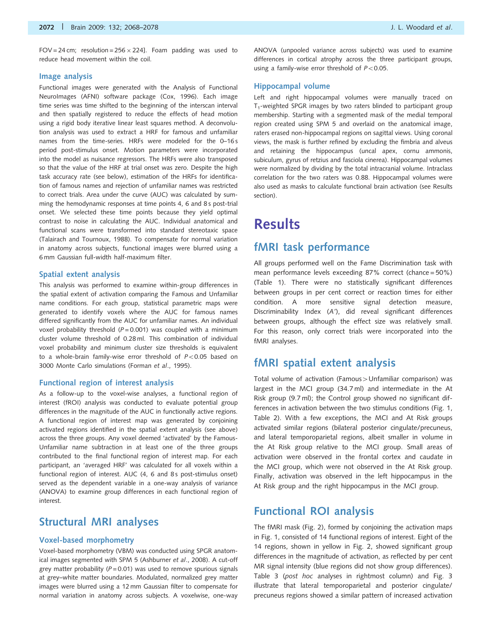FOV = 24 cm; resolution =  $256 \times 224$ ]. Foam padding was used to reduce head movement within the coil.

#### Image analysis

Functional images were generated with the Analysis of Functional NeuroImages (AFNI) software package (Cox, 1996). Each image time series was time shifted to the beginning of the interscan interval and then spatially registered to reduce the effects of head motion using a rigid body iterative linear least squares method. A deconvolution analysis was used to extract a HRF for famous and unfamiliar names from the time-series. HRFs were modeled for the 0–16 s period post-stimulus onset. Motion parameters were incorporated into the model as nuisance regressors. The HRFs were also transposed so that the value of the HRF at trial onset was zero. Despite the high task accuracy rate (see below), estimation of the HRFs for identification of famous names and rejection of unfamiliar names was restricted to correct trials. Area under the curve (AUC) was calculated by summing the hemodynamic responses at time points 4, 6 and 8 s post-trial onset. We selected these time points because they yield optimal contrast to noise in calculating the AUC. Individual anatomical and functional scans were transformed into standard stereotaxic space (Talairach and Tournoux, 1988). To compensate for normal variation in anatomy across subjects, functional images were blurred using a 6 mm Gaussian full-width half-maximum filter.

#### Spatial extent analysis

This analysis was performed to examine within-group differences in the spatial extent of activation comparing the Famous and Unfamiliar name conditions. For each group, statistical parametric maps were generated to identify voxels where the AUC for famous names differed significantly from the AUC for unfamiliar names. An individual voxel probability threshold ( $P = 0.001$ ) was coupled with a minimum cluster volume threshold of 0.28 ml. This combination of individual voxel probability and minimum cluster size thresholds is equivalent to a whole-brain family-wise error threshold of  $P < 0.05$  based on 3000 Monte Carlo simulations (Forman et al., 1995).

#### Functional region of interest analysis

As a follow-up to the voxel-wise analyses, a functional region of interest (fROI) analysis was conducted to evaluate potential group differences in the magnitude of the AUC in functionally active regions. A functional region of interest map was generated by conjoining activated regions identified in the spatial extent analysis (see above) across the three groups. Any voxel deemed 'activated' by the Famous-Unfamiliar name subtraction in at least one of the three groups contributed to the final functional region of interest map. For each participant, an 'averaged HRF' was calculated for all voxels within a functional region of interest. AUC (4, 6 and 8s post-stimulus onset) served as the dependent variable in a one-way analysis of variance (ANOVA) to examine group differences in each functional region of interest.

### Structural MRI analyses

#### Voxel-based morphometry

Voxel-based morphometry (VBM) was conducted using SPGR anatomical images segmented with SPM 5 (Ashburner et al., 2008). A cut-off grey matter probability ( $P = 0.01$ ) was used to remove spurious signals at grey–white matter boundaries. Modulated, normalized grey matter images were blurred using a 12 mm Gaussian filter to compensate for normal variation in anatomy across subjects. A voxelwise, one-way

ANOVA (unpooled variance across subjects) was used to examine differences in cortical atrophy across the three participant groups, using a family-wise error threshold of  $P<0.05$ .

#### Hippocampal volume

Left and right hippocampal volumes were manually traced on  $T_1$ -weighted SPGR images by two raters blinded to participant group membership. Starting with a segmented mask of the medial temporal region created using SPM 5 and overlaid on the anatomical image, raters erased non-hippocampal regions on sagittal views. Using coronal views, the mask is further refined by excluding the fimbria and alveus and retaining the hippocampus (uncal apex, cornu ammonis, subiculum, gyrus of retzius and fasciola cinerea). Hippocampal volumes were normalized by dividing by the total intracranial volume. Intraclass correlation for the two raters was 0.88. Hippocampal volumes were also used as masks to calculate functional brain activation (see Results section).

# **Results**

### fMRI task performance

All groups performed well on the Fame Discrimination task with mean performance levels exceeding 87% correct (chance = 50%) (Table 1). There were no statistically significant differences between groups in per cent correct or reaction times for either condition. A more sensitive signal detection measure, Discriminability Index (A'), did reveal significant differences between groups, although the effect size was relatively small. For this reason, only correct trials were incorporated into the fMRI analyses.

### fMRI spatial extent analysis

Total volume of activation (Famous > Unfamiliar comparison) was largest in the MCI group (34.7 ml) and intermediate in the At Risk group (9.7 ml); the Control group showed no significant differences in activation between the two stimulus conditions (Fig. 1, Table 2). With a few exceptions, the MCI and At Risk groups activated similar regions (bilateral posterior cingulate/precuneus, and lateral temporoparietal regions, albeit smaller in volume in the At Risk group relative to the MCI group. Small areas of activation were observed in the frontal cortex and caudate in the MCI group, which were not observed in the At Risk group. Finally, activation was observed in the left hippocampus in the At Risk group and the right hippocampus in the MCI group.

### Functional ROI analysis

The fMRI mask (Fig. 2), formed by conjoining the activation maps in Fig. 1, consisted of 14 functional regions of interest. Eight of the 14 regions, shown in yellow in Fig. 2, showed significant group differences in the magnitude of activation, as reflected by per cent MR signal intensity (blue regions did not show group differences). Table 3 (post hoc analyses in rightmost column) and Fig. 3 illustrate that lateral temporoparietal and posterior cingulate/ precuneus regions showed a similar pattern of increased activation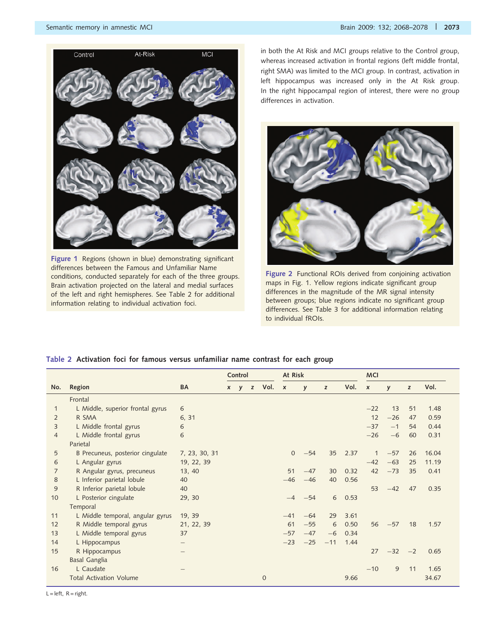

Figure 1 Regions (shown in blue) demonstrating significant differences between the Famous and Unfamiliar Name conditions, conducted separately for each of the three groups. Brain activation projected on the lateral and medial surfaces of the left and right hemispheres. See Table 2 for additional information relating to individual activation foci.

in both the At Risk and MCI groups relative to the Control group, whereas increased activation in frontal regions (left middle frontal, right SMA) was limited to the MCI group. In contrast, activation in left hippocampus was increased only in the At Risk group. In the right hippocampal region of interest, there were no group differences in activation.



Figure 2 Functional ROIs derived from conjoining activation maps in Fig. 1. Yellow regions indicate significant group differences in the magnitude of the MR signal intensity between groups; blue regions indicate no significant group differences. See Table 3 for additional information relating to individual fROIs.

### Table 2 Activation foci for famous versus unfamiliar name contrast for each group

|                |                                  |               | Control |  | At Risk                |          |       |       | <b>MCI</b> |                  |              |      |       |
|----------------|----------------------------------|---------------|---------|--|------------------------|----------|-------|-------|------------|------------------|--------------|------|-------|
| No.            | Region                           | BA            |         |  | $x \ y \ z \ Vol. \ x$ |          | y     | z     | Vol.       | $\boldsymbol{x}$ | $\mathsf{y}$ | z    | Vol.  |
|                | Frontal                          |               |         |  |                        |          |       |       |            |                  |              |      |       |
| $\mathbf 1$    | L Middle, superior frontal gyrus | 6             |         |  |                        |          |       |       |            | $-22$            | 13           | 51   | 1.48  |
| 2              | R SMA                            | 6.31          |         |  |                        |          |       |       |            | 12               | $-26$        | 47   | 0.59  |
| 3              | L Middle frontal gyrus           | 6             |         |  |                        |          |       |       |            | $-37$            | $-1$         | 54   | 0.44  |
| $\overline{4}$ | L Middle frontal gyrus           | 6             |         |  |                        |          |       |       |            | $-26$            | $-6$         | 60   | 0.31  |
|                | Parietal                         |               |         |  |                        |          |       |       |            |                  |              |      |       |
| 5              | B Precuneus, posterior cingulate | 7, 23, 30, 31 |         |  |                        | $\Omega$ | $-54$ | 35    | 2.37       |                  | $-57$        | 26   | 16.04 |
| 6              | L Angular gyrus                  | 19, 22, 39    |         |  |                        |          |       |       |            | $-42$            | $-63$        | 25   | 11.19 |
| 7              | R Angular gyrus, precuneus       | 13, 40        |         |  |                        | 51       | $-47$ | 30    | 0.32       | 42               | $-73$        | 35   | 0.41  |
| 8              | L Inferior parietal lobule       | 40            |         |  |                        | $-46$    | $-46$ | 40    | 0.56       |                  |              |      |       |
| 9              | R Inferior parietal lobule       | 40            |         |  |                        |          |       |       |            | 53               | $-42$        | 47   | 0.35  |
| 10             | L Posterior cingulate            | 29, 30        |         |  |                        | $-4$     | $-54$ | 6     | 0.53       |                  |              |      |       |
|                | Temporal                         |               |         |  |                        |          |       |       |            |                  |              |      |       |
| 11             | L Middle temporal, angular gyrus | 19, 39        |         |  |                        | $-41$    | $-64$ | 29    | 3.61       |                  |              |      |       |
| 12             | R Middle temporal gyrus          | 21, 22, 39    |         |  |                        | 61       | $-55$ | 6     | 0.50       | 56               | $-57$        | 18   | 1.57  |
| 13             | L Middle temporal gyrus          | 37            |         |  |                        | $-57$    | $-47$ | $-6$  | 0.34       |                  |              |      |       |
| 14             | L Hippocampus                    |               |         |  |                        | $-23$    | $-25$ | $-11$ | 1.44       |                  |              |      |       |
| 15             | R Hippocampus                    |               |         |  |                        |          |       |       |            | 27               | $-32$        | $-2$ | 0.65  |
|                | <b>Basal Ganglia</b>             |               |         |  |                        |          |       |       |            |                  |              |      |       |
| 16             | L Caudate                        |               |         |  |                        |          |       |       |            | $-10$            | 9            | 11   | 1.65  |
|                | <b>Total Activation Volume</b>   |               |         |  | $\overline{0}$         |          |       |       | 9.66       |                  |              |      | 34.67 |

 $L = left$ ,  $R = right$ .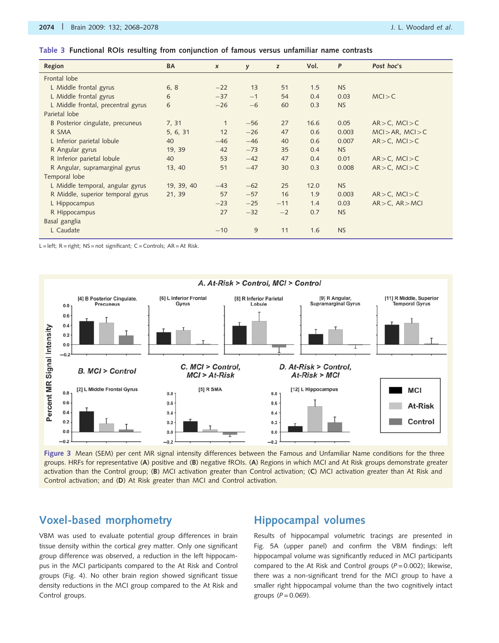|  |  |  |  |  |  | Table 3 Functional ROIs resulting from conjunction of famous versus unfamiliar name contrasts |  |  |  |  |  |  |  |
|--|--|--|--|--|--|-----------------------------------------------------------------------------------------------|--|--|--|--|--|--|--|
|--|--|--|--|--|--|-----------------------------------------------------------------------------------------------|--|--|--|--|--|--|--|

| Region                             | BA         | $\boldsymbol{x}$ | y     | z     | Vol. | P         | Post hoc's             |
|------------------------------------|------------|------------------|-------|-------|------|-----------|------------------------|
| Frontal lobe                       |            |                  |       |       |      |           |                        |
| L Middle frontal gyrus             | 6, 8       | $-22$            | 13    | 51    | 1.5  | <b>NS</b> |                        |
| L Middle frontal gyrus             | 6          | $-37$            | $-1$  | 54    | 0.4  | 0.03      | MCI > C                |
| L Middle frontal, precentral gyrus | 6          | $-26$            | $-6$  | 60    | 0.3  | <b>NS</b> |                        |
| Parietal lobe                      |            |                  |       |       |      |           |                        |
| B Posterior cingulate, precuneus   | 7, 31      | $\mathbf{1}$     | $-56$ | 27    | 16.6 | 0.05      | $AR > C$ , $MCI > C$   |
| R SMA                              | 5, 6, 31   | 12               | $-26$ | 47    | 0.6  | 0.003     | $MCI > AR$ , $MCI > C$ |
| L Inferior parietal lobule         | 40         | $-46$            | $-46$ | 40    | 0.6  | 0.007     | $AR > C$ , $MCI > C$   |
| R Angular gyrus                    | 19, 39     | 42               | $-73$ | 35    | 0.4  | <b>NS</b> |                        |
| R Inferior parietal lobule         | 40         | 53               | $-42$ | 47    | 0.4  | 0.01      | $AR > C$ , $MCI > C$   |
| R Angular, supramarginal gyrus     | 13, 40     | 51               | $-47$ | 30    | 0.3  | 0.008     | $AR > C$ , $MCI > C$   |
| Temporal lobe                      |            |                  |       |       |      |           |                        |
| L Middle temporal, angular gyrus   | 19, 39, 40 | $-43$            | $-62$ | 25    | 12.0 | <b>NS</b> |                        |
| R Middle, superior temporal gyrus  | 21, 39     | 57               | $-57$ | 16    | 1.9  | 0.003     | $AR > C$ , $MCI > C$   |
| L Hippocampus                      |            | $-23$            | $-25$ | $-11$ | 1.4  | 0.03      | $AR > C$ , $AR > MCI$  |
| R Hippocampus                      |            | 27               | $-32$ | $-2$  | 0.7  | <b>NS</b> |                        |
| Basal ganglia                      |            |                  |       |       |      |           |                        |
| L Caudate                          |            | $-10$            | 9     | 11    | 1.6  | <b>NS</b> |                        |

L = left; R = right; NS = not significant; C = Controls; AR = At Risk.



Figure 3 Mean (SEM) per cent MR signal intensity differences between the Famous and Unfamiliar Name conditions for the three groups. HRFs for representative (A) positive and (B) negative fROIs. (A) Regions in which MCI and At Risk groups demonstrate greater activation than the Control group; (B) MCI activation greater than Control activation; (C) MCI activation greater than At Risk and Control activation; and (D) At Risk greater than MCI and Control activation.

### Voxel-based morphometry

VBM was used to evaluate potential group differences in brain tissue density within the cortical grey matter. Only one significant group difference was observed, a reduction in the left hippocampus in the MCI participants compared to the At Risk and Control groups (Fig. 4). No other brain region showed significant tissue density reductions in the MCI group compared to the At Risk and Control groups.

## Hippocampal volumes

Results of hippocampal volumetric tracings are presented in Fig. 5A (upper panel) and confirm the VBM findings: left hippocampal volume was significantly reduced in MCI participants compared to the At Risk and Control groups ( $P = 0.002$ ); likewise, there was a non-significant trend for the MCI group to have a smaller right hippocampal volume than the two cognitively intact groups  $(P = 0.069)$ .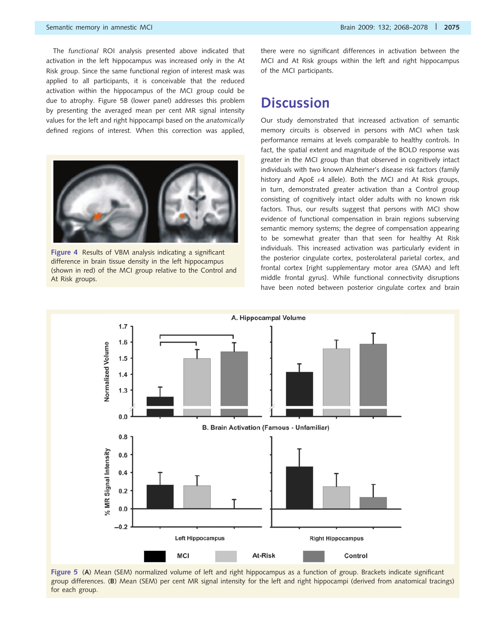The functional ROI analysis presented above indicated that activation in the left hippocampus was increased only in the At Risk group. Since the same functional region of interest mask was applied to all participants, it is conceivable that the reduced activation within the hippocampus of the MCI group could be due to atrophy. Figure 5B (lower panel) addresses this problem by presenting the averaged mean per cent MR signal intensity values for the left and right hippocampi based on the anatomically defined regions of interest. When this correction was applied,



Figure 4 Results of VBM analysis indicating a significant difference in brain tissue density in the left hippocampus (shown in red) of the MCI group relative to the Control and At Risk groups.

there were no significant differences in activation between the MCI and At Risk groups within the left and right hippocampus of the MCI participants.

# **Discussion**

Our study demonstrated that increased activation of semantic memory circuits is observed in persons with MCI when task performance remains at levels comparable to healthy controls. In fact, the spatial extent and magnitude of the BOLD response was greater in the MCI group than that observed in cognitively intact individuals with two known Alzheimer's disease risk factors (family history and ApoE  $\varepsilon$ 4 allele). Both the MCI and At Risk groups, in turn, demonstrated greater activation than a Control group consisting of cognitively intact older adults with no known risk factors. Thus, our results suggest that persons with MCI show evidence of functional compensation in brain regions subserving semantic memory systems; the degree of compensation appearing to be somewhat greater than that seen for healthy At Risk individuals. This increased activation was particularly evident in the posterior cingulate cortex, posterolateral parietal cortex, and frontal cortex [right supplementary motor area (SMA) and left middle frontal gyrus]. While functional connectivity disruptions have been noted between posterior cingulate cortex and brain



Figure 5 (A) Mean (SEM) normalized volume of left and right hippocampus as a function of group. Brackets indicate significant group differences. (B) Mean (SEM) per cent MR signal intensity for the left and right hippocampi (derived from anatomical tracings) for each group.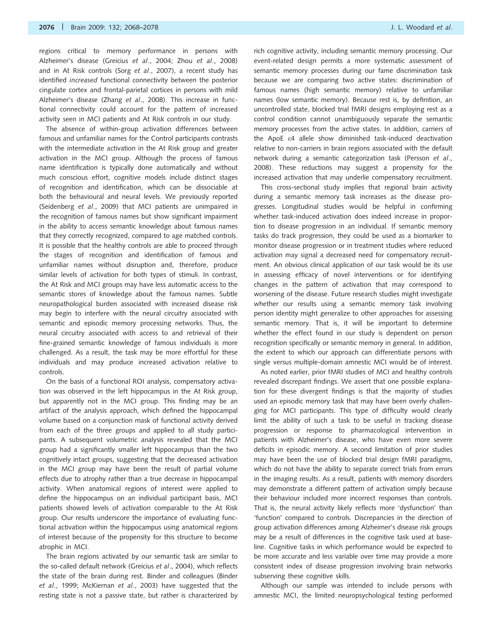regions critical to memory performance in persons with Alzheimer's disease (Greicius et al., 2004; Zhou et al., 2008) and in At Risk controls (Sorg et al., 2007), a recent study has identified increased functional connectivity between the posterior cingulate cortex and frontal-parietal cortices in persons with mild Alzheimer's disease (Zhang et al., 2008). This increase in functional connectivity could account for the pattern of increased activity seen in MCI patients and At Risk controls in our study.

The absence of within-group activation differences between famous and unfamiliar names for the Control participants contrasts with the intermediate activation in the At Risk group and greater activation in the MCI group. Although the process of famous name identification is typically done automatically and without much conscious effort, cognitive models include distinct stages of recognition and identification, which can be dissociable at both the behavioural and neural levels. We previously reported (Seidenberg et al., 2009) that MCI patients are unimpaired in the recognition of famous names but show significant impairment in the ability to access semantic knowledge about famous names that they correctly recognized, compared to age matched controls. It is possible that the healthy controls are able to proceed through the stages of recognition and identification of famous and unfamiliar names without disruption and, therefore, produce similar levels of activation for both types of stimuli. In contrast, the At Risk and MCI groups may have less automatic access to the semantic stores of knowledge about the famous names. Subtle neuropathological burden associated with increased disease risk may begin to interfere with the neural circuitry associated with semantic and episodic memory processing networks. Thus, the neural circuitry associated with access to and retrieval of their fine-grained semantic knowledge of famous individuals is more challenged. As a result, the task may be more effortful for these individuals and may produce increased activation relative to controls.

On the basis of a functional ROI analysis, compensatory activation was observed in the left hippocampus in the At Risk group, but apparently not in the MCI group. This finding may be an artifact of the analysis approach, which defined the hippocampal volume based on a conjunction mask of functional activity derived from each of the three groups and applied to all study participants. A subsequent volumetric analysis revealed that the MCI group had a significantly smaller left hippocampus than the two cognitively intact groups, suggesting that the decreased activation in the MCI group may have been the result of partial volume effects due to atrophy rather than a true decrease in hippocampal activity. When anatomical regions of interest were applied to define the hippocampus on an individual participant basis, MCI patients showed levels of activation comparable to the At Risk group. Our results underscore the importance of evaluating functional activation within the hippocampus using anatomical regions of interest because of the propensity for this structure to become atrophic in MCI.

The brain regions activated by our semantic task are similar to the so-called default network (Greicius et al., 2004), which reflects the state of the brain during rest. Binder and colleagues (Binder et al., 1999; McKiernan et al., 2003) have suggested that the resting state is not a passive state, but rather is characterized by rich cognitive activity, including semantic memory processing. Our event-related design permits a more systematic assessment of semantic memory processes during our fame discrimination task because we are comparing two active states: discrimination of famous names (high semantic memory) relative to unfamiliar names (low semantic memory). Because rest is, by definition, an uncontrolled state, blocked trial fMRI designs employing rest as a control condition cannot unambiguously separate the semantic memory processes from the active states. In addition, carriers of the ApoE e4 allele show diminished task-induced deactivation relative to non-carriers in brain regions associated with the default network during a semantic categorization task (Persson et al., 2008). These reductions may suggest a propensity for the increased activation that may underlie compensatory recruitment.

This cross-sectional study implies that regional brain activity during a semantic memory task increases as the disease progresses. Longitudinal studies would be helpful in confirming whether task-induced activation does indeed increase in proportion to disease progression in an individual. If semantic memory tasks do track progression, they could be used as a biomarker to monitor disease progression or in treatment studies where reduced activation may signal a decreased need for compensatory recruitment. An obvious clinical application of our task would be its use in assessing efficacy of novel interventions or for identifying changes in the pattern of activation that may correspond to worsening of the disease. Future research studies might investigate whether our results using a semantic memory task involving person identity might generalize to other approaches for assessing semantic memory. That is, it will be important to determine whether the effect found in our study is dependent on person recognition specifically or semantic memory in general. In addition, the extent to which our approach can differentiate persons with single versus multiple-domain amnestic MCI would be of interest.

As noted earlier, prior fMRI studies of MCI and healthy controls revealed discrepant findings. We assert that one possible explanation for these divergent findings is that the majority of studies used an episodic memory task that may have been overly challenging for MCI participants. This type of difficulty would clearly limit the ability of such a task to be useful in tracking disease progression or response to pharmacological intervention in patients with Alzheimer's disease, who have even more severe deficits in episodic memory. A second limitation of prior studies may have been the use of blocked trial design fMRI paradigms, which do not have the ability to separate correct trials from errors in the imaging results. As a result, patients with memory disorders may demonstrate a different pattern of activation simply because their behaviour included more incorrect responses than controls. That is, the neural activity likely reflects more 'dysfunction' than 'function' compared to controls. Discrepancies in the direction of group activation differences among Alzheimer's disease risk groups may be a result of differences in the cognitive task used at baseline. Cognitive tasks in which performance would be expected to be more accurate and less variable over time may provide a more consistent index of disease progression involving brain networks subserving these cognitive skills.

Although our sample was intended to include persons with amnestic MCI, the limited neuropsychological testing performed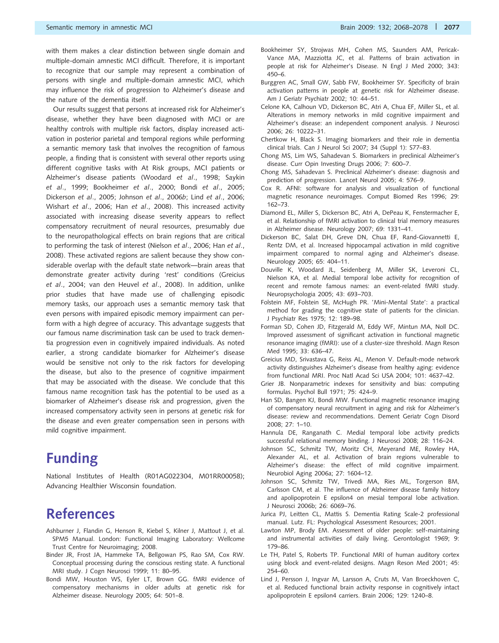the nature of the dementia itself. Our results suggest that persons at increased risk for Alzheimer's disease, whether they have been diagnosed with MCI or are healthy controls with multiple risk factors, display increased activation in posterior parietal and temporal regions while performing a semantic memory task that involves the recognition of famous people, a finding that is consistent with several other reports using different cognitive tasks with At Risk groups, MCI patients or Alzheimer's disease patients (Woodard et al., 1998; Saykin et al., 1999; Bookheimer et al., 2000; Bondi et al., 2005; Dickerson et al., 2005; Johnson et al., 2006b; Lind et al., 2006; Wishart et al., 2006; Han et al., 2008). This increased activity associated with increasing disease severity appears to reflect compensatory recruitment of neural resources, presumably due to the neuropathological effects on brain regions that are critical to performing the task of interest (Nielson et al., 2006; Han et al., 2008). These activated regions are salient because they show considerable overlap with the default state network—brain areas that demonstrate greater activity during 'rest' conditions (Greicius et al., 2004; van den Heuvel et al., 2008). In addition, unlike prior studies that have made use of challenging episodic memory tasks, our approach uses a semantic memory task that even persons with impaired episodic memory impairment can perform with a high degree of accuracy. This advantage suggests that our famous name discrimination task can be used to track dementia progression even in cognitively impaired individuals. As noted earlier, a strong candidate biomarker for Alzheimer's disease would be sensitive not only to the risk factors for developing the disease, but also to the presence of cognitive impairment that may be associated with the disease. We conclude that this famous name recognition task has the potential to be used as a biomarker of Alzheimer's disease risk and progression, given the increased compensatory activity seen in persons at genetic risk for the disease and even greater compensation seen in persons with mild cognitive impairment.

# Funding

National Institutes of Health (R01AG022304, M01RR00058); Advancing Healthier Wisconsin foundation.

# References

- Ashburner J, Flandin G, Henson R, Kiebel S, Kilner J, Mattout J, et al. SPM5 Manual. London: Functional Imaging Laboratory: Wellcome Trust Centre for Neuroimaging; 2008.
- Binder JR, Frost JA, Hammeke TA, Bellgowan PS, Rao SM, Cox RW. Conceptual processing during the conscious resting state. A functional MRI study. J Cogn Neurosci 1999; 11: 80–95.
- Bondi MW, Houston WS, Eyler LT, Brown GG. fMRI evidence of compensatory mechanisms in older adults at genetic risk for Alzheimer disease. Neurology 2005; 64: 501–8.
- Bookheimer SY, Strojwas MH, Cohen MS, Saunders AM, Pericak-Vance MA, Mazziotta JC, et al. Patterns of brain activation in people at risk for Alzheimer's Disease. N Engl J Med 2000; 343: 450–6.
- Burggren AC, Small GW, Sabb FW, Bookheimer SY. Specificity of brain activation patterns in people at genetic risk for Alzheimer disease. Am J Geriatr Psychiatr 2002; 10: 44–51.
- Celone KA, Calhoun VD, Dickerson BC, Atri A, Chua EF, Miller SL, et al. Alterations in memory networks in mild cognitive impairment and Alzheimer's disease: an independent component analysis. J Neurosci 2006; 26: 10222–31.
- Chertkow H, Black S. Imaging biomarkers and their role in dementia clinical trials. Can J Neurol Sci 2007; 34 (Suppl 1): S77–83.
- Chong MS, Lim WS, Sahadevan S. Biomarkers in preclinical Alzheimer's disease. Curr Opin Investing Drugs 2006; 7: 600–7.
- Chong MS, Sahadevan S. Preclinical Alzheimer's disease: diagnosis and prediction of progression. Lancet Neurol 2005; 4: 576–9.
- Cox R. AFNI: software for analysis and visualization of functional magnetic resonance neuroimages. Comput Biomed Res 1996; 29: 162–73.
- Diamond EL, Miller S, Dickerson BC, Atri A, DePeau K, Fenstermacher E, et al. Relationship of fMRI activation to clinical trial memory measures in Alzheimer disease. Neurology 2007; 69: 1331–41.
- Dickerson BC, Salat DH, Greve DN, Chua EF, Rand-Giovannetti E, Rentz DM, et al. Increased hippocampal activation in mild cognitive impairment compared to normal aging and Alzheimer's disease. Neurology 2005; 65: 404–11.
- Douville K, Woodard JL, Seidenberg M, Miller SK, Leveroni CL, Nielson KA, et al. Medial temporal lobe activity for recognition of recent and remote famous names: an event-related fMRI study. Neuropsychologia 2005; 43: 693–703.
- Folstein MF, Folstein SE, McHugh PR. 'Mini-Mental State': a practical method for grading the cognitive state of patients for the clinician. J Psychiatr Res 1975; 12: 189–98.
- Forman SD, Cohen JD, Fitzgerald M, Eddy WF, Mintun MA, Noll DC. Improved assessment of significant activation in functional magnetic resonance imaging (fMRI): use of a cluster-size threshold. Magn Reson Med 1995; 33: 636–47.
- Greicius MD, Srivastava G, Reiss AL, Menon V. Default-mode network activity distinguishes Alzheimer's disease from healthy aging: evidence from functional MRI. Proc Natl Acad Sci USA 2004; 101: 4637–42.
- Grier JB. Nonparametric indexes for sensitivity and bias: computing formulas. Psychol Bull 1971; 75: 424–9.
- Han SD, Bangen KJ, Bondi MW. Functional magnetic resonance imaging of compensatory neural recruitment in aging and risk for Alzheimer's disease: review and recommendations. Dement Geriatr Cogn Disord 2008; 27: 1–10.
- Hannula DE, Ranganath C. Medial temporal lobe activity predicts successful relational memory binding. J Neurosci 2008; 28: 116–24.
- Johnson SC, Schmitz TW, Moritz CH, Meyerand ME, Rowley HA, Alexander AL, et al. Activation of brain regions vulnerable to Alzheimer's disease: the effect of mild cognitive impairment. Neurobiol Aging 2006a; 27: 1604–12.
- Johnson SC, Schmitz TW, Trivedi MA, Ries ML, Torgerson BM, Carlsson CM, et al. The influence of Alzheimer disease family history and apolipoprotein E epsilon4 on mesial temporal lobe activation. J Neurosci 2006b; 26: 6069–76.
- Jurica PJ, Leitten CL, Mattis S. Dementia Rating Scale-2 professional manual. Lutz. FL: Psychological Assessment Resources; 2001.
- Lawton MP, Brody EM. Assessment of older people: self-maintaining and instrumental activities of daily living. Gerontologist 1969; 9: 179–86.
- Le TH, Patel S, Roberts TP. Functional MRI of human auditory cortex using block and event-related designs. Magn Reson Med 2001; 45: 254–60.
- Lind J, Persson J, Ingvar M, Larsson A, Cruts M, Van Broeckhoven C, et al. Reduced functional brain activity response in cognitively intact apolipoprotein E epsilon4 carriers. Brain 2006; 129: 1240–8.